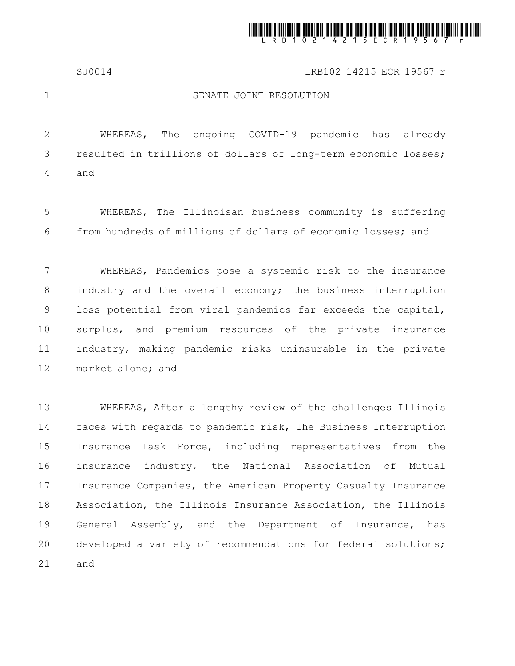

SJ0014 LRB102 14215 ECR 19567 r

1

## SENATE JOINT RESOLUTION

WHEREAS, The ongoing COVID-19 pandemic has already resulted in trillions of dollars of long-term economic losses; and 2 3 4

WHEREAS, The Illinoisan business community is suffering from hundreds of millions of dollars of economic losses; and 5 6

WHEREAS, Pandemics pose a systemic risk to the insurance industry and the overall economy; the business interruption loss potential from viral pandemics far exceeds the capital, surplus, and premium resources of the private insurance industry, making pandemic risks uninsurable in the private market alone; and 7 8 9 10 11 12

WHEREAS, After a lengthy review of the challenges Illinois faces with regards to pandemic risk, The Business Interruption Insurance Task Force, including representatives from the insurance industry, the National Association of Mutual Insurance Companies, the American Property Casualty Insurance Association, the Illinois Insurance Association, the Illinois General Assembly, and the Department of Insurance, has developed a variety of recommendations for federal solutions; and 13 14 15 16 17 18 19 20 21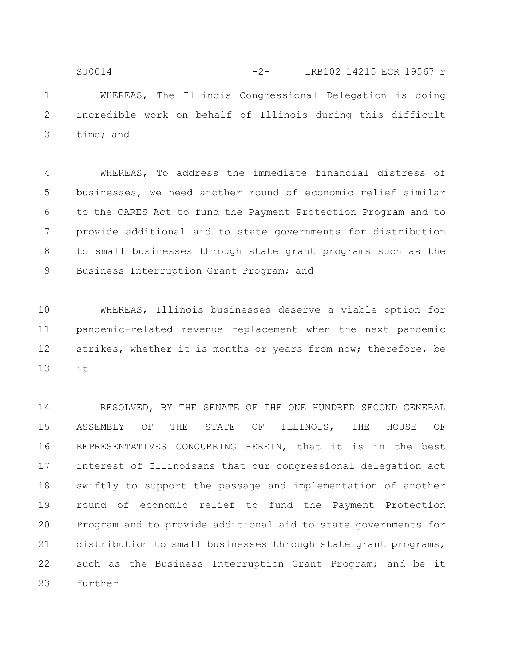WHEREAS, The Illinois Congressional Delegation is doing incredible work on behalf of Illinois during this difficult time; and 1 2 3 SJ0014 -2- LRB102 14215 ECR 19567 r

WHEREAS, To address the immediate financial distress of businesses, we need another round of economic relief similar to the CARES Act to fund the Payment Protection Program and to provide additional aid to state governments for distribution to small businesses through state grant programs such as the Business Interruption Grant Program; and 4 5 6 7 8 9

WHEREAS, Illinois businesses deserve a viable option for pandemic-related revenue replacement when the next pandemic strikes, whether it is months or years from now; therefore, be it 10 11 12 13

RESOLVED, BY THE SENATE OF THE ONE HUNDRED SECOND GENERAL ASSEMBLY OF THE STATE OF ILLINOIS, THE HOUSE OF REPRESENTATIVES CONCURRING HEREIN, that it is in the best interest of Illinoisans that our congressional delegation act swiftly to support the passage and implementation of another round of economic relief to fund the Payment Protection Program and to provide additional aid to state governments for distribution to small businesses through state grant programs, such as the Business Interruption Grant Program; and be it further 14 15 16 17 18 19 20 21 22 23